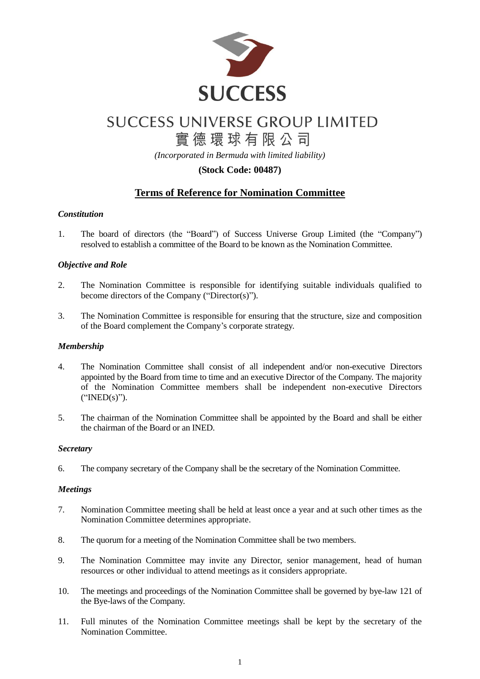

# **SUCCESS UNIVERSE GROUP LIMITED** 實德環球有限公司

*(Incorporated in Bermuda with limited liability)*

### **(Stock Code: 00487)**

## **Terms of Reference for Nomination Committee**

#### *Constitution*

1. The board of directors (the "Board") of Success Universe Group Limited (the "Company") resolved to establish a committee of the Board to be known as the Nomination Committee.

#### *Objective and Role*

- 2. The Nomination Committee is responsible for identifying suitable individuals qualified to become directors of the Company ("Director(s)").
- 3. The Nomination Committee is responsible for ensuring that the structure, size and composition of the Board complement the Company's corporate strategy.

#### *Membership*

- 4. The Nomination Committee shall consist of all independent and/or non-executive Directors appointed by the Board from time to time and an executive Director of the Company. The majority of the Nomination Committee members shall be independent non-executive Directors ("INED(s)").
- 5. The chairman of the Nomination Committee shall be appointed by the Board and shall be either the chairman of the Board or an INED.

#### *Secretary*

6. The company secretary of the Company shall be the secretary of the Nomination Committee.

#### *Meetings*

- 7. Nomination Committee meeting shall be held at least once a year and at such other times as the Nomination Committee determines appropriate.
- 8. The quorum for a meeting of the Nomination Committee shall be two members.
- 9. The Nomination Committee may invite any Director, senior management, head of human resources or other individual to attend meetings as it considers appropriate.
- 10. The meetings and proceedings of the Nomination Committee shall be governed by bye-law 121 of the Bye-laws of the Company.
- 11. Full minutes of the Nomination Committee meetings shall be kept by the secretary of the Nomination Committee.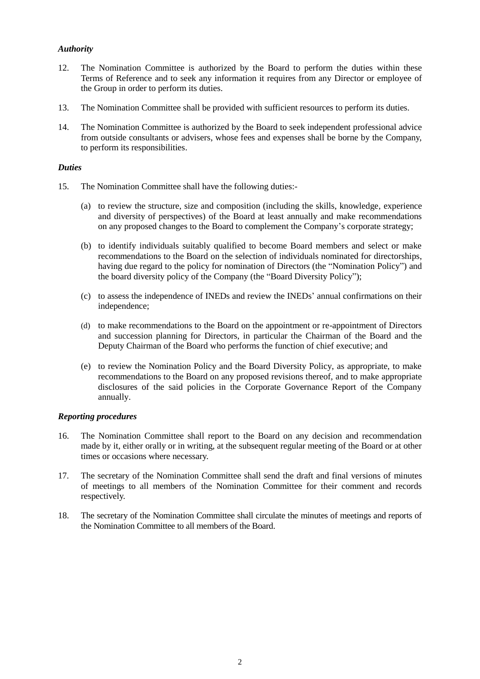#### *Authority*

- 12. The Nomination Committee is authorized by the Board to perform the duties within these Terms of Reference and to seek any information it requires from any Director or employee of the Group in order to perform its duties.
- 13. The Nomination Committee shall be provided with sufficient resources to perform its duties.
- 14. The Nomination Committee is authorized by the Board to seek independent professional advice from outside consultants or advisers, whose fees and expenses shall be borne by the Company, to perform its responsibilities.

#### *Duties*

- 15. The Nomination Committee shall have the following duties:-
	- (a) to review the structure, size and composition (including the skills, knowledge, experience and diversity of perspectives) of the Board at least annually and make recommendations on any proposed changes to the Board to complement the Company's corporate strategy;
	- (b) to identify individuals suitably qualified to become Board members and select or make recommendations to the Board on the selection of individuals nominated for directorships, having due regard to the policy for nomination of Directors (the "Nomination Policy") and the board diversity policy of the Company (the "Board Diversity Policy");
	- (c) to assess the independence of INEDs and review the INEDs' annual confirmations on their independence;
	- (d) to make recommendations to the Board on the appointment or re-appointment of Directors and succession planning for Directors, in particular the Chairman of the Board and the Deputy Chairman of the Board who performs the function of chief executive; and
	- (e) to review the Nomination Policy and the Board Diversity Policy, as appropriate, to make recommendations to the Board on any proposed revisions thereof, and to make appropriate disclosures of the said policies in the Corporate Governance Report of the Company annually.

#### *Reporting procedures*

- 16. The Nomination Committee shall report to the Board on any decision and recommendation made by it, either orally or in writing, at the subsequent regular meeting of the Board or at other times or occasions where necessary.
- 17. The secretary of the Nomination Committee shall send the draft and final versions of minutes of meetings to all members of the Nomination Committee for their comment and records respectively.
- 18. The secretary of the Nomination Committee shall circulate the minutes of meetings and reports of the Nomination Committee to all members of the Board.